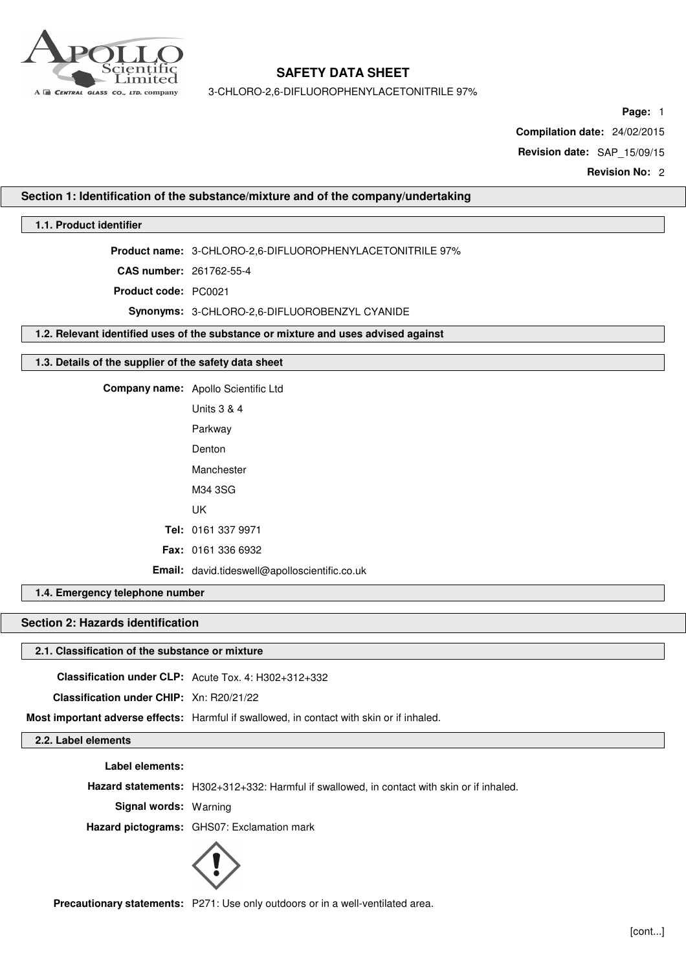

3-CHLORO-2,6-DIFLUOROPHENYLACETONITRILE 97%

**Page:** 1

**Compilation date:** 24/02/2015

**Revision date:** SAP\_15/09/15

**Revision No:** 2

## **Section 1: Identification of the substance/mixture and of the company/undertaking**

## **1.1. Product identifier**

**Product name:** 3-CHLORO-2,6-DIFLUOROPHENYLACETONITRILE 97%

**CAS number:** 261762-55-4

**Product code:** PC0021

**Synonyms:** 3-CHLORO-2,6-DIFLUOROBENZYL CYANIDE

**1.2. Relevant identified uses of the substance or mixture and uses advised against**

#### **1.3. Details of the supplier of the safety data sheet**

**Company name:** Apollo Scientific Ltd

| Units 3 & 4                                          |
|------------------------------------------------------|
| Parkway                                              |
| Denton                                               |
| Manchester                                           |
| M34 3SG                                              |
| UΚ                                                   |
| <b>Tel:</b> 0161 337 9971                            |
| <b>Fax: 0161 336 6932</b>                            |
| <b>Email:</b> david.tideswell@apolloscientific.co.uk |

**1.4. Emergency telephone number**

## **Section 2: Hazards identification**

## **2.1. Classification of the substance or mixture**

**Classification under CLP:** Acute Tox. 4: H302+312+332

**Classification under CHIP:** Xn: R20/21/22

**Most important adverse effects:** Harmful if swallowed, in contact with skin or if inhaled.

**2.2. Label elements**

**Label elements:**

**Hazard statements:** H302+312+332: Harmful if swallowed, in contact with skin or if inhaled.

**Signal words:** Warning

**Hazard pictograms:** GHS07: Exclamation mark



**Precautionary statements:** P271: Use only outdoors or in a well-ventilated area.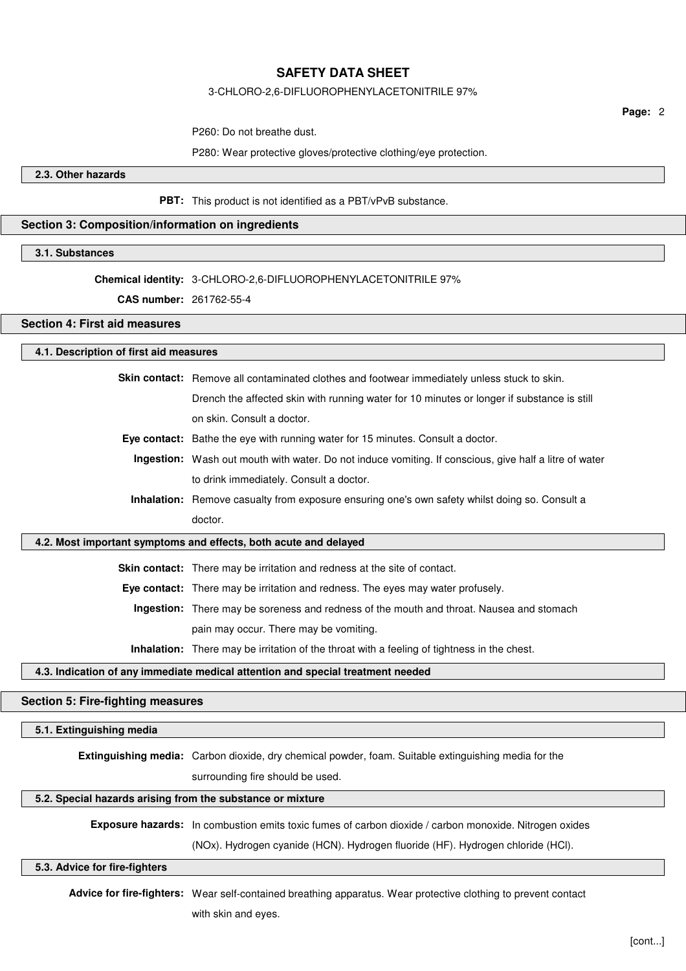#### 3-CHLORO-2,6-DIFLUOROPHENYLACETONITRILE 97%

**Page:** 2

P260: Do not breathe dust.

P280: Wear protective gloves/protective clothing/eye protection.

**2.3. Other hazards**

**PBT:** This product is not identified as a PBT/vPvB substance.

## **Section 3: Composition/information on ingredients**

#### **3.1. Substances**

## **Chemical identity:** 3-CHLORO-2,6-DIFLUOROPHENYLACETONITRILE 97%

**CAS number:** 261762-55-4

## **Section 4: First aid measures**

#### **4.1. Description of first aid measures**

**Skin contact:** Remove all contaminated clothes and footwear immediately unless stuck to skin. Drench the affected skin with running water for 10 minutes or longer if substance is still

- on skin. Consult a doctor.
- **Eye contact:** Bathe the eye with running water for 15 minutes. Consult a doctor.
- **Ingestion:** Wash out mouth with water. Do not induce vomiting. If conscious, give half a litre of water to drink immediately. Consult a doctor.
- **Inhalation:** Remove casualty from exposure ensuring one's own safety whilst doing so. Consult a doctor.

### **4.2. Most important symptoms and effects, both acute and delayed**

**Skin contact:** There may be irritation and redness at the site of contact.

**Eye contact:** There may be irritation and redness. The eyes may water profusely.

**Ingestion:** There may be soreness and redness of the mouth and throat. Nausea and stomach pain may occur. There may be vomiting.

**Inhalation:** There may be irritation of the throat with a feeling of tightness in the chest.

## **4.3. Indication of any immediate medical attention and special treatment needed**

## **Section 5: Fire-fighting measures**

## **5.1. Extinguishing media**

**Extinguishing media:** Carbon dioxide, dry chemical powder, foam. Suitable extinguishing media for the

surrounding fire should be used.

## **5.2. Special hazards arising from the substance or mixture**

**Exposure hazards:** In combustion emits toxic fumes of carbon dioxide / carbon monoxide. Nitrogen oxides

(NOx). Hydrogen cyanide (HCN). Hydrogen fluoride (HF). Hydrogen chloride (HCl).

# **5.3. Advice for fire-fighters**

**Advice for fire-fighters:** Wear self-contained breathing apparatus. Wear protective clothing to prevent contact with skin and eyes.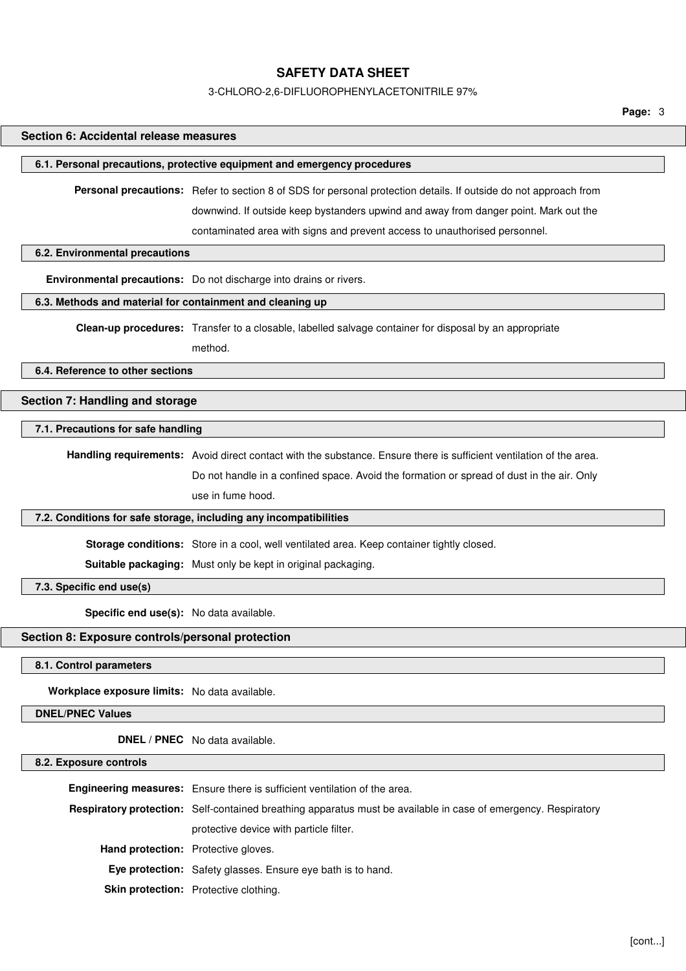#### 3-CHLORO-2,6-DIFLUOROPHENYLACETONITRILE 97%

**Page:** 3

## **Section 6: Accidental release measures**

#### **6.1. Personal precautions, protective equipment and emergency procedures**

**Personal precautions:** Refer to section 8 of SDS for personal protection details. If outside do not approach from downwind. If outside keep bystanders upwind and away from danger point. Mark out the contaminated area with signs and prevent access to unauthorised personnel.

#### **6.2. Environmental precautions**

**Environmental precautions:** Do not discharge into drains or rivers.

## **6.3. Methods and material for containment and cleaning up**

**Clean-up procedures:** Transfer to a closable, labelled salvage container for disposal by an appropriate

method.

**6.4. Reference to other sections**

## **Section 7: Handling and storage**

## **7.1. Precautions for safe handling**

**Handling requirements:** Avoid direct contact with the substance. Ensure there is sufficient ventilation of the area. Do not handle in a confined space. Avoid the formation or spread of dust in the air. Only use in fume hood.

#### **7.2. Conditions for safe storage, including any incompatibilities**

**Storage conditions:** Store in a cool, well ventilated area. Keep container tightly closed.

**Suitable packaging:** Must only be kept in original packaging.

**7.3. Specific end use(s)**

**Specific end use(s):** No data available.

## **Section 8: Exposure controls/personal protection**

**8.1. Control parameters**

**Workplace exposure limits:** No data available.

**DNEL/PNEC Values**

**DNEL / PNEC** No data available.

### **8.2. Exposure controls**

**Engineering measures:** Ensure there is sufficient ventilation of the area. **Respiratory protection:** Self-contained breathing apparatus must be available in case of emergency. Respiratory protective device with particle filter. **Hand protection:** Protective gloves. **Eye protection:** Safety glasses. Ensure eye bath is to hand. **Skin protection:** Protective clothing.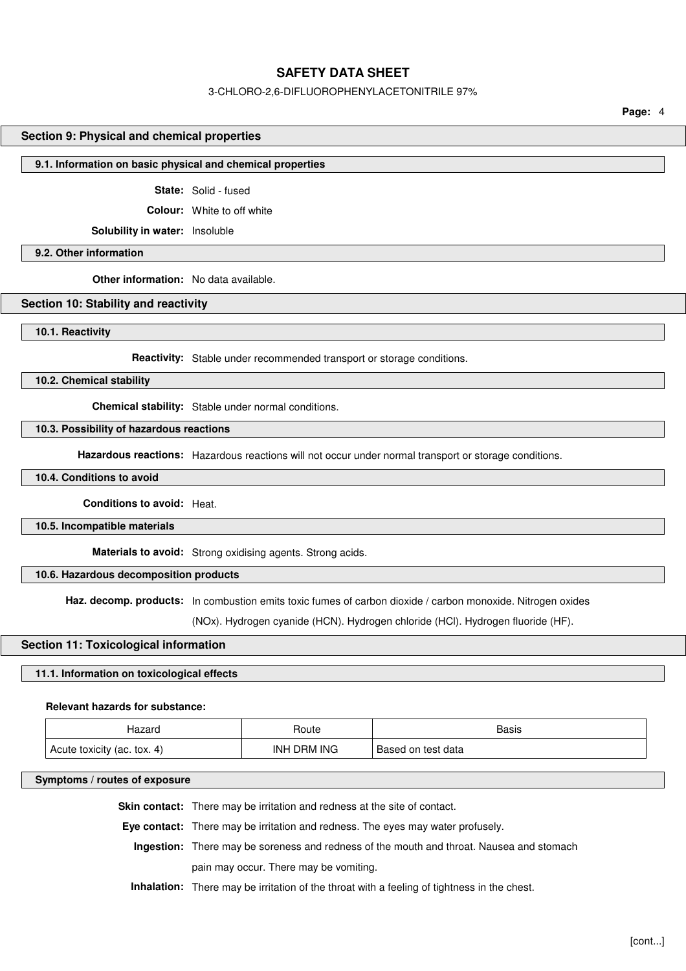#### 3-CHLORO-2,6-DIFLUOROPHENYLACETONITRILE 97%

**Page:** 4

#### **Section 9: Physical and chemical properties**

#### **9.1. Information on basic physical and chemical properties**

**State:** Solid - fused

**Colour:** White to off white

**Solubility in water:** Insoluble

**9.2. Other information**

**Other information:** No data available.

### **Section 10: Stability and reactivity**

**10.1. Reactivity**

**Reactivity:** Stable under recommended transport or storage conditions.

**10.2. Chemical stability**

**Chemical stability:** Stable under normal conditions.

## **10.3. Possibility of hazardous reactions**

**Hazardous reactions:** Hazardous reactions will not occur under normal transport or storage conditions.

**10.4. Conditions to avoid**

**Conditions to avoid:** Heat.

**10.5. Incompatible materials**

**Materials to avoid:** Strong oxidising agents. Strong acids.

**10.6. Hazardous decomposition products**

**Haz. decomp. products:** In combustion emits toxic fumes of carbon dioxide / carbon monoxide. Nitrogen oxides

(NOx). Hydrogen cyanide (HCN). Hydrogen chloride (HCl). Hydrogen fluoride (HF).

#### **Section 11: Toxicological information**

#### **11.1. Information on toxicological effects**

#### **Relevant hazards for substance:**

| Hazaro                      | Route       | Basis              |
|-----------------------------|-------------|--------------------|
| Acute toxicity (ac. tox. 4) | INH DRM ING | Based on test data |

#### **Symptoms / routes of exposure**

**Skin contact:** There may be irritation and redness at the site of contact.

**Eye contact:** There may be irritation and redness. The eyes may water profusely.

**Ingestion:** There may be soreness and redness of the mouth and throat. Nausea and stomach pain may occur. There may be vomiting.

**Inhalation:** There may be irritation of the throat with a feeling of tightness in the chest.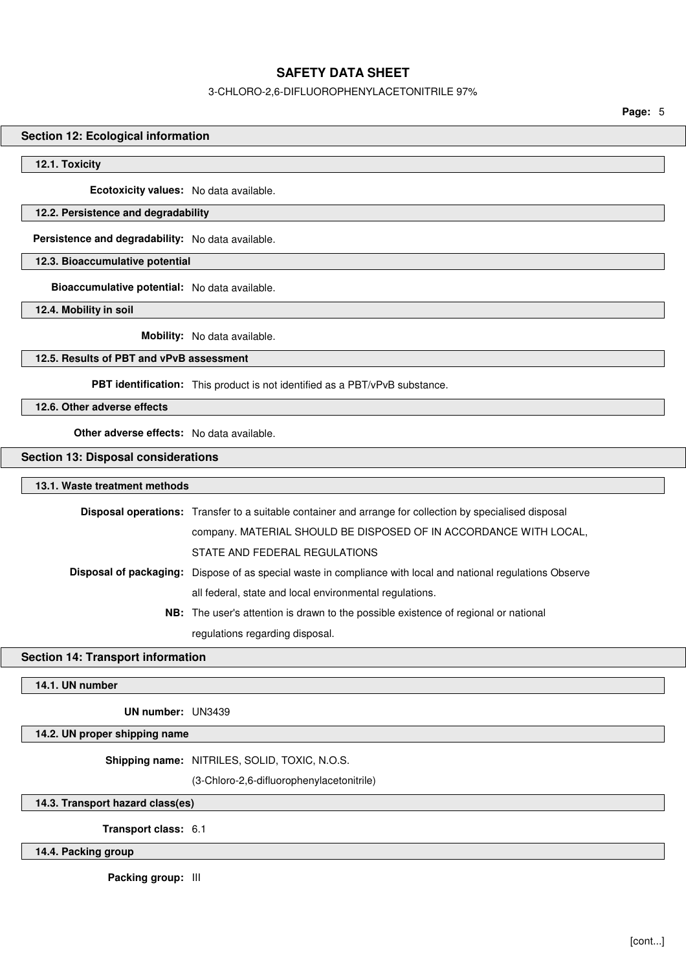## 3-CHLORO-2,6-DIFLUOROPHENYLACETONITRILE 97%

**Page:** 5

### **Section 12: Ecological information**

#### **12.1. Toxicity**

**Ecotoxicity values:** No data available.

### **12.2. Persistence and degradability**

**Persistence and degradability:** No data available.

**12.3. Bioaccumulative potential**

**Bioaccumulative potential:** No data available.

**12.4. Mobility in soil**

**Mobility:** No data available.

## **12.5. Results of PBT and vPvB assessment**

**PBT identification:** This product is not identified as a PBT/vPvB substance.

**12.6. Other adverse effects**

**Other adverse effects:** No data available.

#### **Section 13: Disposal considerations**

## **13.1. Waste treatment methods**

| <b>Disposal operations:</b> Transfer to a suitable container and arrange for collection by specialised disposal     |
|---------------------------------------------------------------------------------------------------------------------|
| company. MATERIAL SHOULD BE DISPOSED OF IN ACCORDANCE WITH LOCAL,                                                   |
| STATE AND FEDERAL REGULATIONS                                                                                       |
| <b>Disposal of packaging:</b> Dispose of as special waste in compliance with local and national regulations Observe |
| all federal, state and local environmental regulations.                                                             |
| <b>NB:</b> The user's attention is drawn to the possible existence of regional or national                          |
| regulations regarding disposal.                                                                                     |

## **Section 14: Transport information**

**14.1. UN number**

**UN number:** UN3439

#### **14.2. UN proper shipping name**

**Shipping name:** NITRILES, SOLID, TOXIC, N.O.S.

(3-Chloro-2,6-difluorophenylacetonitrile)

**14.3. Transport hazard class(es)**

**Transport class:** 6.1

**14.4. Packing group**

**Packing group:** III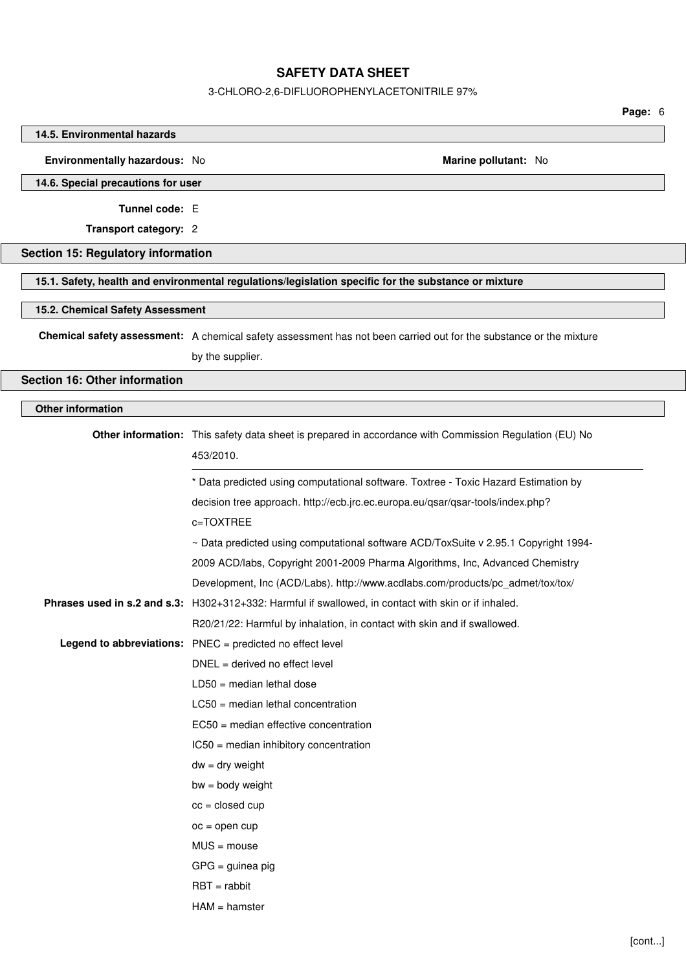### 3-CHLORO-2,6-DIFLUOROPHENYLACETONITRILE 97%

**Page:** 6

## **14.5. Environmental hazards**

**Environmentally hazardous:** No **Marine pollutant:** No

**14.6. Special precautions for user**

**Tunnel code:** E

**Transport category:** 2

## **Section 15: Regulatory information**

**15.1. Safety, health and environmental regulations/legislation specific for the substance or mixture**

### **15.2. Chemical Safety Assessment**

**Chemical safety assessment:** A chemical safety assessment has not been carried out for the substance or the mixture by the supplier.

**Section 16: Other information**

## **Other information**

| Other information: This safety data sheet is prepared in accordance with Commission Regulation (EU) No<br>453/2010. |
|---------------------------------------------------------------------------------------------------------------------|
| * Data predicted using computational software. Toxtree - Toxic Hazard Estimation by                                 |
| decision tree approach. http://ecb.jrc.ec.europa.eu/qsar/qsar-tools/index.php?                                      |
| c=TOXTREE                                                                                                           |
| ~ Data predicted using computational software ACD/ToxSuite v 2.95.1 Copyright 1994-                                 |
| 2009 ACD/labs, Copyright 2001-2009 Pharma Algorithms, Inc, Advanced Chemistry                                       |
| Development, Inc (ACD/Labs). http://www.acdlabs.com/products/pc admet/tox/tox/                                      |
| Phrases used in s.2 and s.3: H302+312+332: Harmful if swallowed, in contact with skin or if inhaled.                |
| R20/21/22: Harmful by inhalation, in contact with skin and if swallowed.                                            |
| Legend to abbreviations: PNEC = predicted no effect level                                                           |
| $DNEL = derived no effect level$                                                                                    |
| $LD50 = median$ lethal dose                                                                                         |
| $LC50$ = median lethal concentration                                                                                |
| $EC50$ = median effective concentration                                                                             |
| IC50 = median inhibitory concentration                                                                              |
| $dw = dry$ weight                                                                                                   |
| $bw = body weight$                                                                                                  |
| $cc = closed cup$                                                                                                   |
| $oc = open cup$                                                                                                     |
| $MUS = mouse$                                                                                                       |
| $GPG =$ guinea pig                                                                                                  |
| $RBT = rabbit$                                                                                                      |
| $HAM = hamster$                                                                                                     |